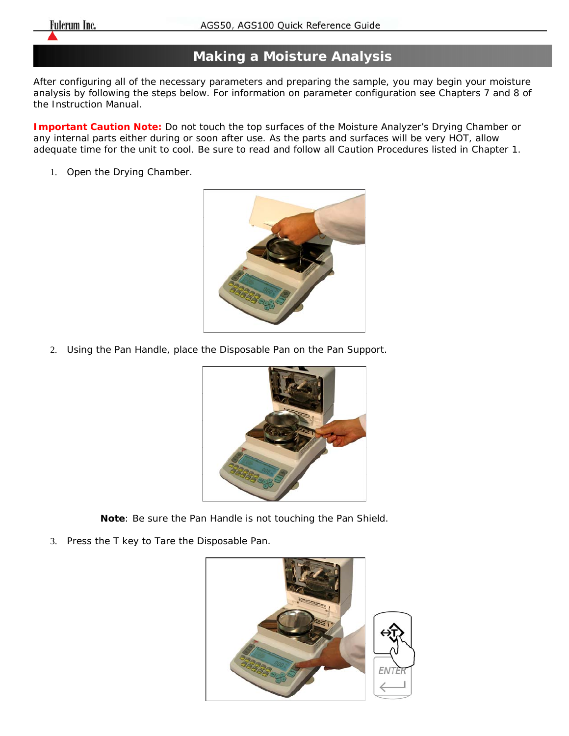## **Making a Moisture Analysis**

After configuring all of the necessary parameters and preparing the sample, you may begin your moisture analysis by following the steps below. For information on parameter configuration see Chapters 7 and 8 of the Instruction Manual.

**Important Caution Note:** Do not touch the top surfaces of the Moisture Analyzer's Drying Chamber or any internal parts either during or soon after use. As the parts and surfaces will be very HOT, allow adequate time for the unit to cool. Be sure to read and follow all Caution Procedures listed in Chapter 1.

1. Open the Drying Chamber.



2. Using the Pan Handle, place the Disposable Pan on the Pan Support.



**Note**: Be sure the Pan Handle is not touching the Pan Shield.

3. Press the T key to Tare the Disposable Pan.